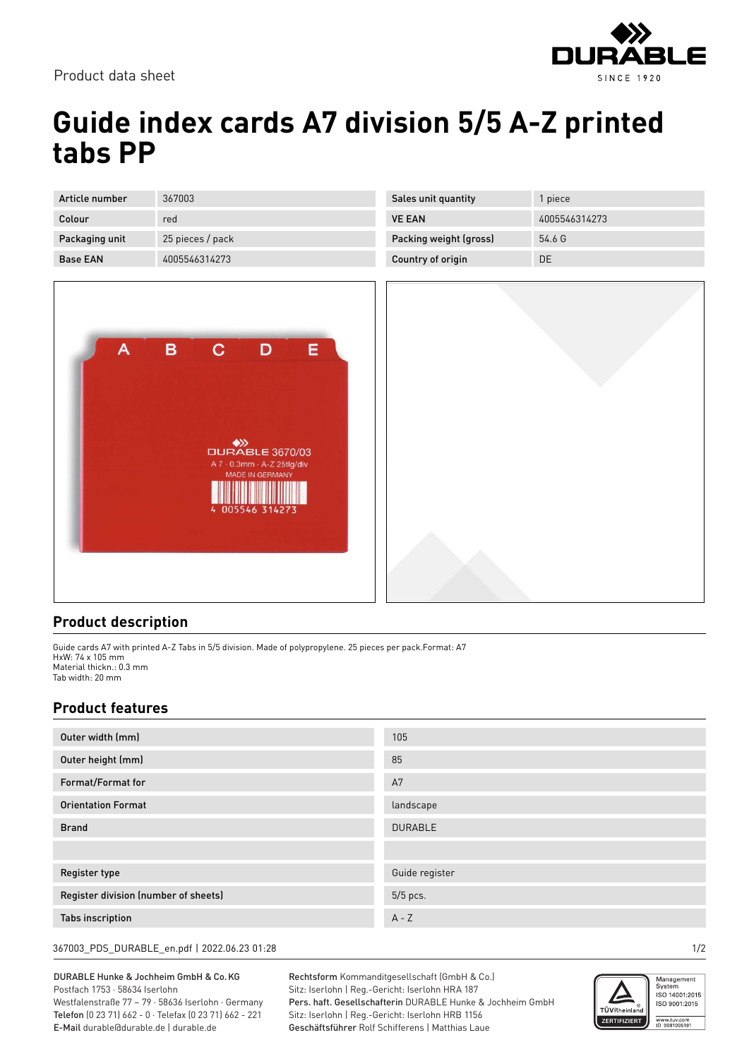

Product data sheet

## **Guide index cards A7 division 5/5 A-Z printed tabs PP**

| Article number  | 367003           |
|-----------------|------------------|
| Colour          | red              |
| Packaging unit  | 25 pieces / pack |
| <b>Base FAN</b> | 4005546314273    |



| Sales unit quantity    | 1 piece       |
|------------------------|---------------|
| <b>VE FAN</b>          | 4005546314273 |
| Packing weight (gross) | 54.6 G        |
| Country of origin      | DE.           |



## **Product description**

Guide cards A7 with printed A-Z Tabs in 5/5 division. Made of polypropylene. 25 pieces per pack.Format: A7 HxW: 74 x 105 mm Material thickn.: 0.3 mm Tab width: 20 mm

## **Product features**

| Outer width (mm)                     | 105            |
|--------------------------------------|----------------|
| Outer height (mm)                    | 85             |
| Format/Format for                    | A7             |
| <b>Orientation Format</b>            | landscape      |
| <b>Brand</b>                         | <b>DURABLE</b> |
|                                      |                |
| <b>Register type</b>                 | Guide register |
| Register division (number of sheets) | 5/5 pcs.       |
| <b>Tabs inscription</b>              | $A - Z$        |

367003\_PDS\_DURABLE\_en.pdf | 2022.06.23 01:28 1/2

DURABLE Hunke & Jochheim GmbH & Co.KG Postfach 1753 · 58634 Iserlohn Westfalenstraße 77 – 79 · 58636 Iserlohn · Germany Telefon (0 23 71) 662 - 0 · Telefax (0 23 71) 662 - 221 E-Mail durable@durable.de | durable.de

Rechtsform Kommanditgesellschaft (GmbH & Co.) Sitz: Iserlohn | Reg.-Gericht: Iserlohn HRA 187 Pers. haft. Gesellschafterin DURABLE Hunke & Jochheim GmbH Sitz: Iserlohn | Reg.-Gericht: Iserlohn HRB 1156 Geschäftsführer Rolf Schifferens | Matthias Laue